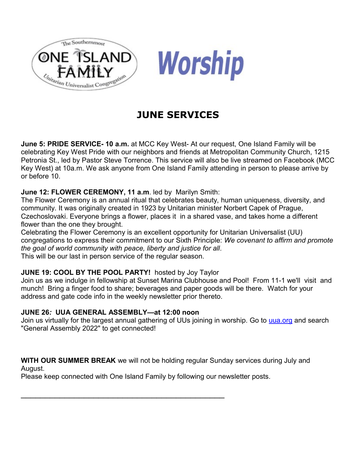



# **JUNE SERVICES**

**June 5: PRIDE SERVICE- 10 a.m.** at MCC Key West- At our request, One Island Family will be celebrating Key West Pride with our neighbors and friends at Metropolitan Community Church, 1215 Petronia St., led by Pastor Steve Torrence. This service will also be live streamed on Facebook (MCC Key West) at 10a.m. We ask anyone from One Island Family attending in person to please arrive by or before 10.

#### **June 12: FLOWER CEREMONY, 11 a.m**. led by Marilyn Smith:

The Flower Ceremony is an annual ritual that celebrates beauty, human uniqueness, diversity, and community. It was originally created in 1923 by Unitarian minister Norbert Capek of Prague, Czechoslovaki. Everyone brings a flower, places it in a shared vase, and takes home a different flower than the one they brought.

Celebrating the Flower Ceremony is an excellent opportunity for Unitarian Universalist (UU) congregations to express their commitment to our Sixth Principle: *We covenant to affirm and promote the goal of world community with peace, liberty and justice for all*.

This will be our last in person service of the regular season.

## **JUNE 19: COOL BY THE POOL PARTY!** hosted by Joy Taylor

Join us as we indulge in fellowship at Sunset Marina Clubhouse and Pool! From 11-1 we'll visit and munch! Bring a finger food to share; beverages and paper goods will be there. Watch for your address and gate code info in the weekly newsletter prior thereto.

## **JUNE 26***:* **UUA GENERAL ASSEMBLY—at 12:00 noon**

Join us virtually for the largest annual gathering of UUs joining in worship. Go to [uua.org](http://uua.org/) and search "General Assembly 2022" to get connected!

**WITH OUR SUMMER BREAK** we will not be holding regular Sunday services during July and August.

Please keep connected with One Island Family by following our newsletter posts.

 $\mathcal{L}_\text{max}$  and  $\mathcal{L}_\text{max}$  and  $\mathcal{L}_\text{max}$  and  $\mathcal{L}_\text{max}$  and  $\mathcal{L}_\text{max}$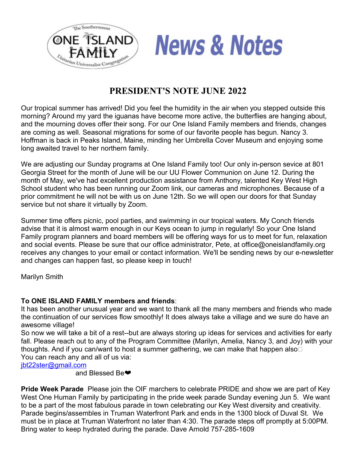



# **PRESIDENT'S NOTE JUNE 2022**

Our tropical summer has arrived! Did you feel the humidity in the air when you stepped outside this morning? Around my yard the iguanas have become more active, the butterflies are hanging about, and the mourning doves offer their song. For our One Island Family members and friends, changes are coming as well. Seasonal migrations for some of our favorite people has begun. Nancy 3. Hoffman is back in Peaks Island, Maine, minding her Umbrella Cover Museum and enjoying some long awaited travel to her northern family.

We are adjusting our Sunday programs at One Island Family too! Our only in-person sevice at 801 Georgia Street for the month of June will be our UU Flower Communion on June 12. During the month of May, we've had excellent production assistance from Anthony, talented Key West High School student who has been running our Zoom link, our cameras and microphones. Because of a prior commitment he will not be with us on June 12th. So we will open our doors for that Sunday service but not share it virtually by Zoom.

Summer time offers picnic, pool parties, and swimming in our tropical waters. My Conch friends advise that it is almost warm enough in our Keys ocean to jump in regularly! So your One Island Family program planners and board members will be offering ways for us to meet for fun, relaxation and social events. Please be sure that our office administrator, Pete, at office@oneislandfamily.org receives any changes to your email or contact information. We'll be sending news by our e-newsletter and changes can happen fast, so please keep in touch!

Marilyn Smith

#### **To ONE ISLAND FAMILY members and friends**:

It has been another unusual year and we want to thank all the many members and friends who made the continuation of our services flow smoothly! It does always take a village and we sure do have an awesome village!

So now we will take a bit of a rest--but are always storing up ideas for services and activities for early fall. Please reach out to any of the Program Committee (Marilyn, Amelia, Nancy 3, and Joy) with your thoughts. And if you can/want to host a summer gathering, we can make that happen also You can reach any and all of us via:

[jbt22ster@gmail.com](mailto:jbt22ster@gmail.com)

and Blessed Be❤

**Pride Week Parade** Please join the OIF marchers to celebrate PRIDE and show we are part of Key West One Human Family by participating in the pride week parade Sunday evening Jun 5. We want to be a part of the most fabulous parade in town celebrating our Key West diversity and creativity. Parade begins/assembles in Truman Waterfront Park and ends in the 1300 block of Duval St. We must be in place at Truman Waterfront no later than 4:30. The parade steps off promptly at 5:00PM. Bring water to keep hydrated during the parade. Dave Arnold 757-285-1609